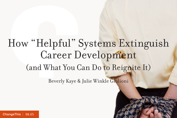# How "Helpful" Systems Extinguish Career Development (and What You Can Do to Reignite It)

Beverly Kaye & Julie Winkle Giulioni

[ChangeThis](http://changethis.com) | 98.05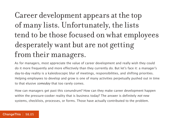# Career development appears at the top of many lists. Unfortunately, the lists tend to be those focused on what employees desperately want but are not getting from their managers.

As for managers, most appreciate the value of career development and really wish they could do it more frequently and more effectively than they currently do. But let's face it: a manager's day-to-day reality is a kaleidoscopic blur of meetings, responsibilities, and shifting priorities. Helping employees to develop and grow is one of many activities perpetually pushed out in time to that elusive someday that too rarely comes.

How can managers get past this conundrum? How can they make career development happen within the pressure-cooker reality that is business today? The answer is definitely not new systems, checklists, processes, or forms. Those have actually contributed to the problem.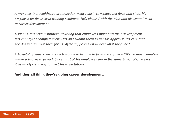A manager in a healthcare organization meticulously completes the form and signs his employee up for several training seminars. He's pleased with the plan and his commitment to career development.

A VP in a financial institution, believing that employees must own their development, lets employees complete their IDPs and submit them to her for approval. It's rare that she doesn't approve their forms. After all, people know best what they need.

A hospitality supervisor uses a template to be able to fit in the eighteen IDPs he must complete within a two-week period. Since most of his employees are in the same basic role, he sees it as an efficient way to meet his expectations.

#### **And they all think they're doing career development.**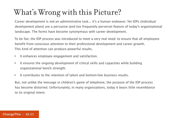## What's Wrong with this Picture?

Career development is not an administrative task... it's a human endeavor. Yet IDPs (individual development plans) are a pervasive (and too frequently perverse) feature of today's organizational landscape. The forms have become synonymous with career development.

To be fair, the IDP process was introduced to meet a very real need: to ensure that all employees benefit from conscious attention to their professional development and career growth. This kind of attention can produce powerful results.

- • It enhances employee engagement and satisfaction.
- It ensures the ongoing development of critical skills and capacities while building organizational bench strength.
- • It contributes to the retention of talent and bottom-line business results.

But, not unlike the message in children's game of telephone, the purpose of the IDP process has become distorted. Unfortunately, in many organizations, today it bears little resemblance to its original intent.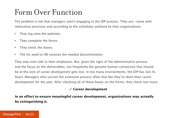### Form Over Function

The problem is not that managers aren't engaging in the IDP process. They are—some with meticulous precision and according to the schedules outlined by their organizations.

- They log onto the websites.
- • They complete the forms.
- They check the boxes.
- The hit send so HR receives the needed documentation.

They may even talk to their employees. But, given the rigor of the administrative process and the focus on the deliverables, too frequently the genuine human connection that should be at the core of career development gets lost. In too many environments, the IDP has lost its heart. Managers who survive the extensive process often feel like they've done their career development for the year. After checking all of those boxes on the forms, they check one more.

#### 3 **Career development**

**In an effort to ensure meaningful career development, organizations may actually be extinguishing it.**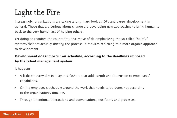# Light the Fire

Increasingly, organizations are taking a long, hard look at IDPs and career development in general. Those that are serious about change are developing new approaches to bring humanity back to the very human act of helping others.

Yet doing so requires the counterintuitive move of de-emphasizing the so-called "helpful" systems that are actually *hurting* the process. It requires returning to a more organic approach to development.

#### **Development doesn't occur on schedule, according to the deadlines imposed by the talent management system.**

It happens:

- • A little bit every day in a layered fashion that adds depth and dimension to employees' capabilities.
- On the employee's schedule around the work that needs to be done, not according to the organization's timeline.
- Through intentional interactions and conversations, not forms and processes.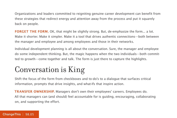Organizations and leaders committed to reigniting genuine career development can benefit from these strategies that redirect energy and attention away from the process and put it squarely back on people.

FORGET THE FORM. OK, that might be slightly strong. But, de-emphasize the form... a lot. Make it shorter. Make it simpler. Make it a tool that drives authentic connections—both between the manager and employee and among employees and those in their networks.

Individual development planning is all about the conversation. Sure, the manager and employee do some independent thinking. But, the magic happens when the two individuals—both committed to growth—come together and talk. The form is just there to capture the highlights.

## Conversation is King

Shift the focus of the form from checkboxes and to-do's to a dialogue that surfaces critical information, prompts that drive insights, and what-ifs that inspire action.

**Transfer ownership.** Managers don't own their employees' careers. Employees do. All that managers can (and should) feel accountable for is guiding, encouraging, collaborating on, and supporting the effort.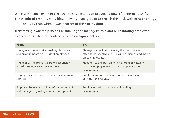When a manager really internalizes this reality, it can produce a powerful energetic shift. The weight of responsibility lifts, allowing managers to approach this task with greater energy and creativity than when it was another of their many duties.

Transferring ownership means re-thinking the manager's role and re-calibrating employee expectations. The new contract involves a significant shift...

| <b>FROM:</b>                                                                                 | TO:                                                                                                                              |
|----------------------------------------------------------------------------------------------|----------------------------------------------------------------------------------------------------------------------------------|
| Manager as orchestrator: making decisions<br>and arrangements on behalf of employees.        | Manager as facilitator: asking the questions and<br>offering perspectives, but leaving decisions and actions<br>up to employees. |
| Manager as the primary person responsible<br>for addressing career development.              | Manager as one person within a broader network<br>that the employee constructs to support career<br>development.                 |
| Employee as consumer of career development<br>services.                                      | Employee as co-creator of career development<br>activities and results.                                                          |
| Employee following the lead of the organization<br>and manager regarding career development. | Employee setting the pace and leading career<br>development.                                                                     |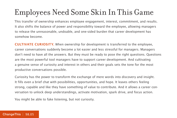# Employees Need Some Skin In This Game

This transfer of ownership enhances employee engagement, interest, commitment, and results. It also shifts the balance of power and responsibility toward the employee, allowing managers to release the unreasonable, undoable, and one-sided burden that career development has somehow become.

**CULTIVATE CURIOSITY.** When ownership for development is transferred to the employee, career conversations suddenly become a lot easier and less stressful for managers. Managers don't need to have all the answers. But they must be ready to pose the right questions. Questions are the most powerful tool managers have to support career development. And cultivating a genuine sense of curiosity and interest in others and their goals sets the tone for the most productive conversations possible.

Curiosity has the power to transform the exchange of mere words into discovery and insight. It fills even a brief chat with possibilities, opportunities, and hope. It leaves others feeling strong, capable and like they have something of value to contribute. And it allows a career conversation to unlock deep understandings, activate motivation, spark drive, and focus action.

You might be able to fake listening, but not curiosity.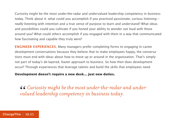Curiosity might be the most under-the-radar and undervalued leadership competency in business today. Think about it: what could you accomplish if you practiced passionate, curious listening really listening with intention and a true sense of purpose to learn and understand? What ideas and possibilities could you cultivate if you honed your ability to wonder out loud with those around you? What could others accomplish if you engaged with them in a way that communicated how fascinating and capable they truly were?

**ENGINEER EXPERIENCES.** Many managers prefer completing forms to engaging in career development conversations because they believe that to make employees happy, the conversations must end with ideas about how to move up or around in the organization. That's simply not part of today's de-layered, leaner approach to business. So how then does development occur? Through experiences that leverage talents and build the skills that employees need.

**Development doesn't require a new desk... just new duties.**

 $\emph{66 Curiosity might be the most under-the-radar and under-valued leadership \\competency in business today.}$ *valued leadership competency in business today.*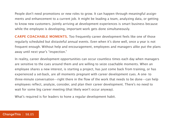People don't need promotions or new roles to grow. It can happen through meaningful assignments and enhancement to a current job. It might be leading a team, analyzing data, or getting to know new customers. Jointly arriving at development experiences is smart business because while the employee is developing, important work gets done simultaneously.

**CARPE COACHABLE MOMENTS.** Too frequently career development feels like one of those regularly scheduled but distasteful annual events. Even when it's done well, once a year is not frequent enough. Without help and encouragement, employees and managers alike put the plans away until next year's "inspection."

In reality, career development opportunities can occur countless times each day when managers are sensitive to the cues around them and are willing to seize coachable moments. When an employee shares a new interest, is starting a project, has just come back from training, or has experienced a set-back, are all moments pregnant with career development cues. A one- to three-minute conversation—right there in the flow of the work that needs to be done—can help employees reflect, analyze, consider, and plan their career development. There's no need to wait for some big career meeting (that likely won't occur anyway).

What's required is for leaders to hone a regular development habit.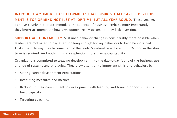**Introduce a "time-released formula" that ensures that career development is top of mind not just at IDP time, but all year round**. These smaller, iterative chunks better accommodate the cadence of business. Perhaps more importantly, they better accommodate how development really occurs: little by little over time.

**SUPPORT ACCOUNTABILITY.** Sustained behavior change is considerably more possible when leaders are motivated to pay attention long enough for key behaviors to become ingrained. That's the only way they become part of the leader's natural repertoire. But attention in the short term is required. And nothing inspires attention more than accountability.

Organizations committed to weaving development into the day-to-day fabric of the business use a range of systems and strategies. They draw attention to important skills and behaviors by:

- • Setting career development expectations.
- Instituting measures and metrics.
- • Backing up their commitment to development with learning and training opportunities to build capacity.
- Targeting coaching.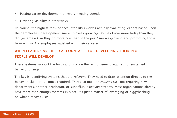- Putting career development on every meeting agenda.
- • Elevating visibility in other ways.

Of course, the highest form of accountability involves actually evaluating leaders based upon their employees' development. Are employees growing? Do they know more today than they did yesterday? Can they do more now than in the past? Are we growing and promoting those from within? Are employees satisfied with their careers?

#### **When leaders are held accountable for developing their people, people will develop.**

These systems support the focus and provide the reinforcement required for sustained behavior change.

The key is identifying systems that are *relevant*. They need to draw attention directly to the behavior, skill, or outcomes required. They also must be reasonable—not requiring new departments, another headcount, or superfluous activity streams. Most organizations already have more than enough systems in place; it's just a matter of leveraging or piggybacking on what already exists.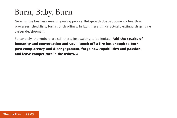### Burn, Baby, Burn

Growing the business means growing people. But growth doesn't come via heartless processes, checklists, forms, or deadlines. In fact, these things actually extinguish genuine career development.

Fortunately, the embers are still there, just waiting to be ignited. **Add the sparks of humanity and conversation and you'll touch off a fire hot enough to burn past complacency and disengagement, forge new capabilities and passion, and leave competitors in the ashes.**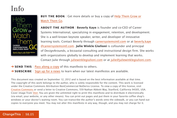

**BUY THE BOOK** | Get more details or buy a copy of Help Them Grow or Watch Them G[o.](http://800ceoread.com/book/show/9781422143568-Winning_the_Story_Wars)

**About the Author** | **Beverly Kaye** is founder and co-CEO of Career Systems International, specializing in engagement, retention, and development. She is a well-known keynote speaker, writer, and developer of innovative learning tools. Contact Beverly through [careersystemsintl.com](http://careersystemsintl.com/) or at [beverly.kaye](mailto:beverly.kaye%40careersystemsintl.com?subject=) [@careersystemsintl.com.](mailto:beverly.kaye%40careersystemsintl.com?subject=) **Julie Winkle Giulioni** is cofounder and principal of DesignArounds, a bicoastal consulting and instructional design firm. She works with organizations globally to develop and implement learning that works. Contact Julie through [juliewinklegiulioni.com](http://www.juliewinklegiulioni.com/) or at [julie@juliewinklegiulioni.com.](mailto:beverly.kaye%40careersystemsintl.com?subject=)

**→ SEND THIS** | [Pass along a copy](http://www.changethis.com/98.04.GrowOrGo/email) of this manifesto to others.

→ **SUBSCRIBE** | Sign up fo[r e-news](http://changethis.com/page/show/e_mail_newsletter) to learn when our latest manifestos are available.

This document was created on September 12, 2012 and is based on the best information available at that time. The copyright of this work belongs to the author, who is solely responsible for the content. This work is licensed under the Creative Commons Attribution-NonCommercial-NoDerivs License. To view a copy of this license, visit [Creative Commons](http://creativecommons.org/licenses/by-nc-nd/2.0/) or send a letter to Creative Commons, 559 Nathan Abbott Way, Stanford, California 94305, USA. Cover image from [Veer.](http://www.veer.com/) You are given the unlimited right to print this manifesto and to distribute it electronically (via email, your website, or any other means). You can print out pages and put them in your favorite coffee shop's windows or your doctor's waiting room. You can transcribe the author's words onto the sidewalk, or you can hand out copies to everyone you meet. You may not alter this manifesto in any way, though, and you may not charge for it.